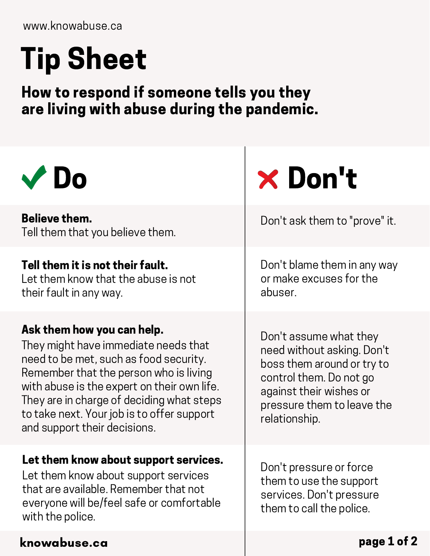# Tip Sheet

How to respond if someone tells you they are living with abuse during the pandemic.

| <b>Do</b>                                                                                                                                                                                                                                                                                                                        | <b>× Don't</b>                                                                                                                                                                          |
|----------------------------------------------------------------------------------------------------------------------------------------------------------------------------------------------------------------------------------------------------------------------------------------------------------------------------------|-----------------------------------------------------------------------------------------------------------------------------------------------------------------------------------------|
| <b>Believe them.</b><br>Tell them that you believe them.                                                                                                                                                                                                                                                                         | Don't ask them to "prove" it.                                                                                                                                                           |
| Tell them it is not their fault.<br>Let them know that the abuse is not<br>their fault in any way.                                                                                                                                                                                                                               | Don't blame them in any way<br>or make excuses for the<br>abuser.                                                                                                                       |
| Ask them how you can help.<br>They might have immediate needs that<br>need to be met, such as food security.<br>Remember that the person who is living<br>with abuse is the expert on their own life.<br>They are in charge of deciding what steps<br>to take next. Your job is to offer support<br>and support their decisions. | Don't assume what they<br>need without asking. Don't<br>boss them around or try to<br>control them. Do not go<br>against their wishes or<br>pressure them to leave the<br>relationship. |
| Let them know about support services.<br>Let them know about support services<br>that are available. Remember that not<br>everyone will be/feel safe or comfortable<br>with the police.                                                                                                                                          | Don't pressure or force<br>them to use the support<br>services. Don't pressure<br>them to call the police.                                                                              |
| knowabuse.ca                                                                                                                                                                                                                                                                                                                     | page 1 of 2                                                                                                                                                                             |